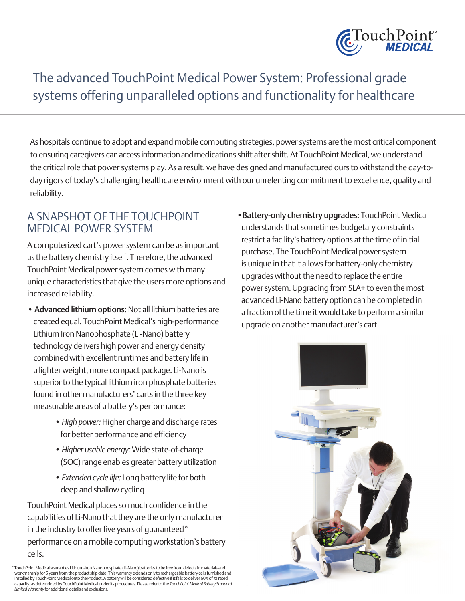

# The advanced TouchPoint Medical Power System: Professional grade systems offering unparalleled options and functionality for healthcare

As hospitals continue to adopt and expand mobile computing strategies, power systems are the most critical component to ensuring caregivers can access information and medications shift after shift. At TouchPoint Medical, we understand the critical role that power systems play. As a result, we have designed and manufactured ours to withstand the day-today rigors of today's challenging healthcare environment with our unrelenting commitment to excellence, quality and reliability.

#### A SNAPSHOT OF THE TOUCHPOINT MEDICAL POWER SYSTEM

A computerized cart's power system can be as important as the battery chemistry itself. Therefore, the advanced TouchPoint Medical power system comes with many unique characteristics that give the users more options and increased reliability.

- Advanced lithium options: Not all lithium batteries are created equal. TouchPoint Medical's high-performance Lithium Iron Nanophosphate (Li-Nano) battery technology delivers high power and energy density combined with excellent runtimes and battery life in a lighter weight, more compact package. Li-Nano is superior to the typical lithium iron phosphate batteries found in other manufacturers' carts in the three key measurable areas of a battery's performance:
	- *High power:* Higher charge and discharge rates for better performance and efficiency
	- *Higher usable energy:* Wide state-of-charge (SOC) range enables greater battery utilization
	- *Extended cycle life:* Long battery life for both deep and shallow cycling

TouchPoint Medical places so much confidence in the capabilities of Li-Nano that they are the only manufacturer in the industry to offer five years of guaranteed\* performance on a mobile computing workstation's battery cells.

\* TouchPoint Medical warranties Lithium-Iron Nanophosphate (Li-Nano) batteries to be free from defects in materials and<br>workmanship for 5 years from the product ship date. This warranty extends only to rechargeable battery installed by TouchPoint Medical onto the Product. A battery will be considered defective if it fails to deliver 60% of its rated capacity, as determined by TouchPoint Medical under its procedures. Please refer to the *TouchPoint Medical Battery Standard Limited Warranty* for additional details and exclusions.

 •Battery-only chemistry upgrades: TouchPoint Medical understands that sometimes budgetary constraints restrict a facility's battery options at the time of initial purchase. The TouchPoint Medical power system is unique in that it allows for battery-only chemistry upgrades without the need to replace the entire power system. Upgrading from SLA+ to even the most advanced Li-Nano battery option can be completed in a fraction of the time it would take to perform a similar upgrade on another manufacturer's cart.

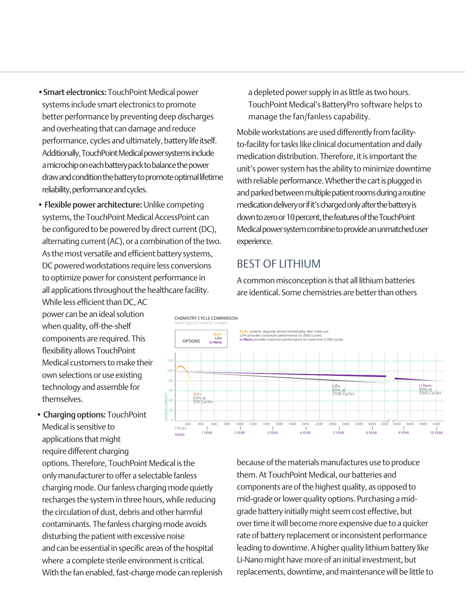• Smart electronics: TouchPoint Medical power systems include smart electronics to promote better performance by preventing deep discharges and overheating that can damage and reduce performance, cycles and ultimately, battery life itself. Additionally, TouchPoint Medical power systems include a microchip on each battery pack to balance the power draw and condition the battery to promote optimal lifetime reliability, performance and cycles.

• Flexible power architecture: Unlike competing systems, the TouchPoint Medical AccessPoint can be configured to be powered by direct current (DC), alternating current (AC), or a combination of the two. As the most versatile and efficient battery systems, DC powered workstations require less conversions to optimize power for consistent performance in all applications throughout the healthcare facility.

While less efficient than DC, AC power can be an ideal solution when quality, off-the-shelf components are required. This flexibility allows TouchPoint Medical customers to make their own selections or use existing technology and assemble for themselves.

• Charging options: TouchPoint Medical is sensitive to applications that might require different charging

options. Therefore, TouchPoint Medical is the only manufacturer to offer a selectable fanless charging mode. Our fanless charging mode quietly recharges the system in three hours, while reducing the circulation of dust, debris and other harmful contaminants. The fanless charging mode avoids disturbing the patient with excessive noise and can be essential in specific areas of the hospital where a complete sterile environment is critical. With the fan enabled, fast-charge mode can replenish

a depleted power supply in as little as two hours. TouchPoint Medical's BatteryPro software helps to manage the fan/fanless capability. Li-Nano

Mobile workstations are used differently from facilityto-facility for tasks like clinical documentation and daily medication distribution. Therefore, it is important the unit's power system has the ability to minimize downtime with reliable performance. Whether the cart is plugged in and parked between multiple patient rooms during a routine medication delivery or if it's charged only after the battery is medicator relivery or intest ranged only after the battery is<br>down to zero or 10 percent, the features of the TouchPoint Medical power system combine to provide an unmatched user experience.  $65%$ 

#### BEST OF LITHIUM

A common misconception is that all lithium batteries are identical. Some chemistries are better than others



because of the materials manufactures use to produce them. At TouchPoint Medical, our batteries and components are of the highest quality, as opposed to mid-grade or lower quality options. Purchasing a midgrade battery initially might seem cost effective, but over time it will become more expensive due to a quicker rate of battery replacement or inconsistent performance leading to downtime. A higher quality lithium battery like Li-Nano might have more of an initial investment, but replacements, downtime, and maintenance will be little to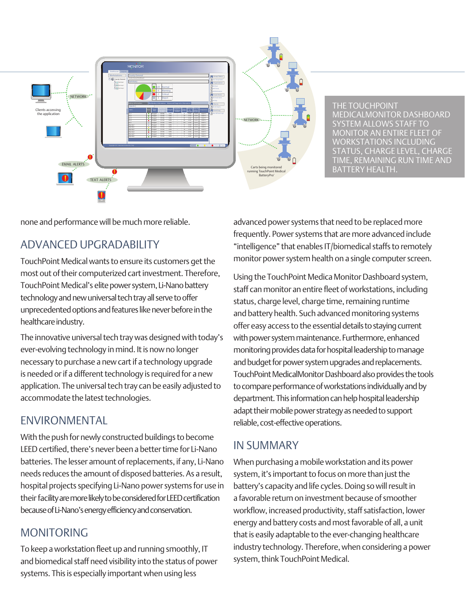

none and performance will be much more reliable.

#### ADVANCED UPGRADABILITY

TouchPoint Medical wants to ensure its customers get the most out of their computerized cart investment. Therefore, TouchPoint Medical's elite power system, Li-Nano battery technology and new universal tech tray all serve to offer unprecedented options and features like never before in the healthcare industry.

The innovative universal tech tray was designed with today's ever-evolving technology in mind. It is now no longer necessary to purchase a new cart if a technology upgrade is needed or if a different technology is required for a new application. The universal tech tray can be easily adjusted to accommodate the latest technologies.

## ENVIRONMENTAL

With the push for newly constructed buildings to become LEED certified, there's never been a better time for Li-Nano batteries. The lesser amount of replacements, if any, Li-Nano needs reduces the amount of disposed batteries. As a result, hospital projects specifying Li-Nano power systems for use in their facility are more likely to be considered for LEED certification because of Li-Nano's energy efficiency and conservation.

## MONITORING

To keep a workstation fleet up and running smoothly, IT and biomedical staff need visibility into the status of power systems. This is especially important when using less

advanced power systems that need to be replaced more frequently. Power systems that are more advanced include "intelligence" that enables IT/biomedical staffs to remotely monitor power system health on a single computer screen.

Using the TouchPoint Medica Monitor Dashboard system, staff can monitor an entire fleet of workstations, including status, charge level, charge time, remaining runtime and battery health. Such advanced monitoring systems offer easy access to the essential details to staying current with power system maintenance. Furthermore, enhanced monitoring provides data for hospital leadership to manage and budget for power system upgrades and replacements. TouchPoint MedicalMonitor Dashboard also provides the tools to compare performance of workstations individually and by department. This information can help hospital leadership adapt their mobile power strategy as needed to support reliable, cost-effective operations.

## IN SUMMARY

When purchasing a mobile workstation and its power system, it's important to focus on more than just the battery's capacity and life cycles. Doing so will result in a favorable return on investment because of smoother workflow, increased productivity, staff satisfaction, lower energy and battery costs and most favorable of all, a unit that is easily adaptable to the ever-changing healthcare industry technology. Therefore, when considering a power system, think TouchPoint Medical.